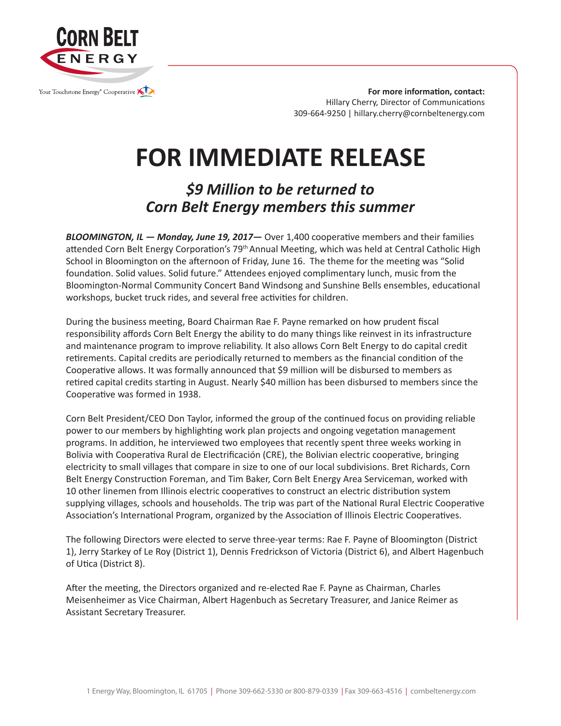

**For more information, contact:** Hillary Cherry, Director of Communications 309-664-9250 | hillary.cherry@cornbeltenergy.com

## **FOR IMMEDIATE RELEASE**

## *\$9 Million to be returned to Corn Belt Energy members this summer*

*BLOOMINGTON, IL — Monday, June 19, 2017—* Over 1,400 cooperative members and their families attended Corn Belt Energy Corporation's 79th Annual Meeting, which was held at Central Catholic High School in Bloomington on the afternoon of Friday, June 16. The theme for the meeting was "Solid foundation. Solid values. Solid future." Attendees enjoyed complimentary lunch, music from the Bloomington-Normal Community Concert Band Windsong and Sunshine Bells ensembles, educational workshops, bucket truck rides, and several free activities for children.

During the business meeting, Board Chairman Rae F. Payne remarked on how prudent fiscal responsibility affords Corn Belt Energy the ability to do many things like reinvest in its infrastructure and maintenance program to improve reliability. It also allows Corn Belt Energy to do capital credit retirements. Capital credits are periodically returned to members as the financial condition of the Cooperative allows. It was formally announced that \$9 million will be disbursed to members as retired capital credits starting in August. Nearly \$40 million has been disbursed to members since the Cooperative was formed in 1938.

Corn Belt President/CEO Don Taylor, informed the group of the continued focus on providing reliable power to our members by highlighting work plan projects and ongoing vegetation management programs. In addition, he interviewed two employees that recently spent three weeks working in Bolivia with Cooperativa Rural de Electrificación (CRE), the Bolivian electric cooperative, bringing electricity to small villages that compare in size to one of our local subdivisions. Bret Richards, Corn Belt Energy Construction Foreman, and Tim Baker, Corn Belt Energy Area Serviceman, worked with 10 other linemen from Illinois electric cooperatives to construct an electric distribution system supplying villages, schools and households. The trip was part of the National Rural Electric Cooperative Association's International Program, organized by the Association of Illinois Electric Cooperatives.

The following Directors were elected to serve three-year terms: Rae F. Payne of Bloomington (District 1), Jerry Starkey of Le Roy (District 1), Dennis Fredrickson of Victoria (District 6), and Albert Hagenbuch of Utica (District 8).

After the meeting, the Directors organized and re-elected Rae F. Payne as Chairman, Charles Meisenheimer as Vice Chairman, Albert Hagenbuch as Secretary Treasurer, and Janice Reimer as Assistant Secretary Treasurer.